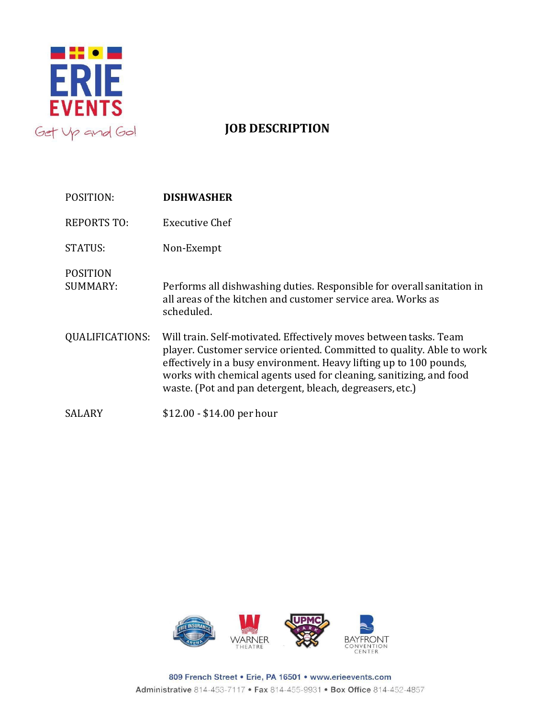

## **JOB DESCRIPTION**

| POSITION:                          | <b>DISHWASHER</b>                                                                                                                                                                                                                                                                                                                                  |
|------------------------------------|----------------------------------------------------------------------------------------------------------------------------------------------------------------------------------------------------------------------------------------------------------------------------------------------------------------------------------------------------|
| <b>REPORTS TO:</b>                 | Executive Chef                                                                                                                                                                                                                                                                                                                                     |
| <b>STATUS:</b>                     | Non-Exempt                                                                                                                                                                                                                                                                                                                                         |
| <b>POSITION</b><br><b>SUMMARY:</b> | Performs all dishwashing duties. Responsible for overall sanitation in<br>all areas of the kitchen and customer service area. Works as<br>scheduled.                                                                                                                                                                                               |
| QUALIFICATIONS:                    | Will train. Self-motivated. Effectively moves between tasks. Team<br>player. Customer service oriented. Committed to quality. Able to work<br>effectively in a busy environment. Heavy lifting up to 100 pounds,<br>works with chemical agents used for cleaning, sanitizing, and food<br>waste. (Pot and pan detergent, bleach, degreasers, etc.) |
| SALARY                             | $$12.00 - $14.00$ per hour                                                                                                                                                                                                                                                                                                                         |



809 French Street . Erie, PA 16501 . www.erieevents.com Administrative 814-453-7117 · Fax 814-455-9931 · Box Office 814-452-4857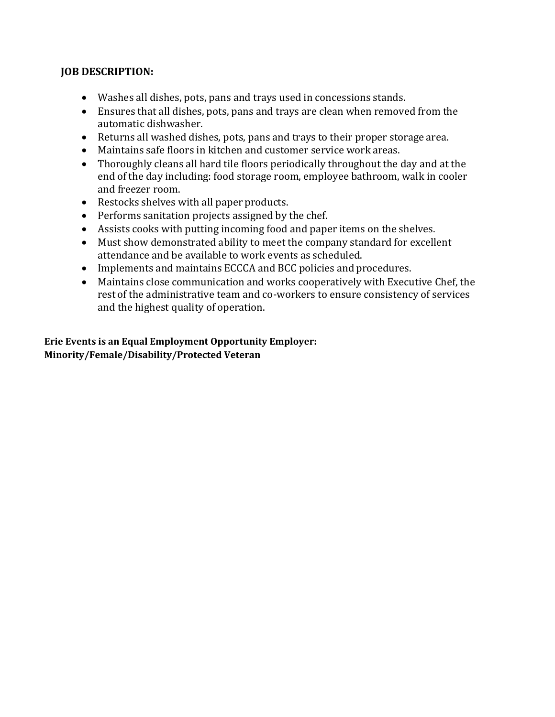## **JOB DESCRIPTION:**

- Washes all dishes, pots, pans and trays used in concessions stands.
- Ensures that all dishes, pots, pans and trays are clean when removed from the automatic dishwasher.
- Returns all washed dishes, pots, pans and trays to their proper storage area.
- Maintains safe floors in kitchen and customer service work areas.
- Thoroughly cleans all hard tile floors periodically throughout the day and at the end of the day including: food storage room, employee bathroom, walk in cooler and freezer room.
- Restocks shelves with all paper products.
- Performs sanitation projects assigned by the chef.
- Assists cooks with putting incoming food and paper items on the shelves.
- Must show demonstrated ability to meet the company standard for excellent attendance and be available to work events as scheduled.
- Implements and maintains ECCCA and BCC policies and procedures.
- Maintains close communication and works cooperatively with Executive Chef, the rest of the administrative team and co-workers to ensure consistency of services and the highest quality of operation.

**Erie Events is an Equal Employment Opportunity Employer: Minority/Female/Disability/Protected Veteran**